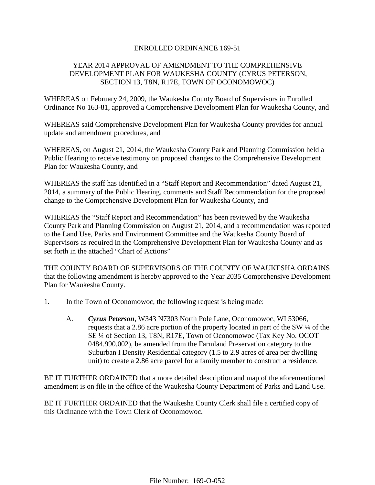## ENROLLED ORDINANCE 169-51

# YEAR 2014 APPROVAL OF AMENDMENT TO THE COMPREHENSIVE DEVELOPMENT PLAN FOR WAUKESHA COUNTY (CYRUS PETERSON, SECTION 13, T8N, R17E, TOWN OF OCONOMOWOC)

WHEREAS on February 24, 2009, the Waukesha County Board of Supervisors in Enrolled Ordinance No 163-81, approved a Comprehensive Development Plan for Waukesha County, and

WHEREAS said Comprehensive Development Plan for Waukesha County provides for annual update and amendment procedures, and

WHEREAS, on August 21, 2014, the Waukesha County Park and Planning Commission held a Public Hearing to receive testimony on proposed changes to the Comprehensive Development Plan for Waukesha County, and

WHEREAS the staff has identified in a "Staff Report and Recommendation" dated August 21, 2014, a summary of the Public Hearing, comments and Staff Recommendation for the proposed change to the Comprehensive Development Plan for Waukesha County, and

WHEREAS the "Staff Report and Recommendation" has been reviewed by the Waukesha County Park and Planning Commission on August 21, 2014, and a recommendation was reported to the Land Use, Parks and Environment Committee and the Waukesha County Board of Supervisors as required in the Comprehensive Development Plan for Waukesha County and as set forth in the attached "Chart of Actions"

THE COUNTY BOARD OF SUPERVISORS OF THE COUNTY OF WAUKESHA ORDAINS that the following amendment is hereby approved to the Year 2035 Comprehensive Development Plan for Waukesha County.

- 1. In the Town of Oconomowoc, the following request is being made:
	- A. *Cyrus Peterson*, W343 N7303 North Pole Lane, Oconomowoc, WI 53066, requests that a 2.86 acre portion of the property located in part of the SW ¼ of the SE ¼ of Section 13, T8N, R17E, Town of Oconomowoc (Tax Key No. OCOT 0484.990.002), be amended from the Farmland Preservation category to the Suburban I Density Residential category (1.5 to 2.9 acres of area per dwelling unit) to create a 2.86 acre parcel for a family member to construct a residence.

BE IT FURTHER ORDAINED that a more detailed description and map of the aforementioned amendment is on file in the office of the Waukesha County Department of Parks and Land Use.

BE IT FURTHER ORDAINED that the Waukesha County Clerk shall file a certified copy of this Ordinance with the Town Clerk of Oconomowoc.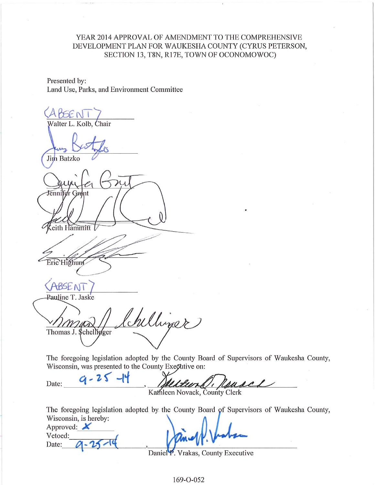# YEAR 2014 APPROVAL OF AMENDMENT TO THE COMPREHENSIVE DEVELOPMENT PLAN FOR WAUKESHA COUNTY (CYRUS PETERSON, SECTION 13, T8N, R17E, TOWN OF OCONOMOWOC)

Presented by: Land Use, Parks, and Environment Committee

ABSENT Walter L. Kolb, Chair Jim Batzko Jenn eith Hammitt Eric Highuns **BSEN** Pauline T. Jaske Chilliner m Thomas J. \$chellyger

The foregoing legislation adopted by the County Board of Supervisors of Waukesha County, Wisconsin, was presented to the County Exective on:

 $9 - 25 - 14$ Date: Fine suse. Kathleen Novack, County Clerk

The foregoing legislation adopted by the County Board of Supervisors of Waukesha County, Wisconsin, is hereby:

Approved:  $\blacktriangle$ Vetoed: Date:

Daniel P. Vrakas, County Executive

169-O-052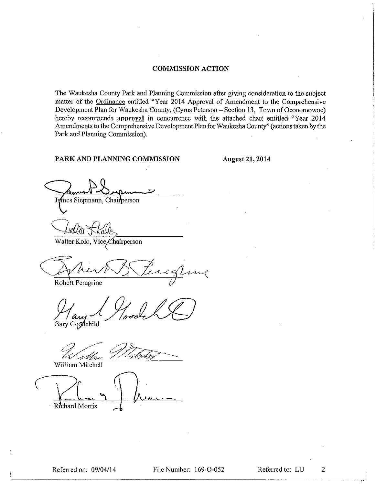## **COMMISSION ACTION**

The Waukesha County Park and Planning Commission after giving consideration to the subject matter of the Ordinance entitled "Year 2014 Approval of Amendment to the Comprehensive Development Plan for Waukesha County, (Cyrus Peterson - Section 13, Town of Oconomowoc) hereby recommends approval in concurrence with the attached chart entitled "Year 2014 Amendments to the Comprehensive Development Plan for Waukesha County" (actions taken by the Park and Planning Commission).

## PARK AND PLANNING COMMISSION

August 21, 2014

James Siepmann, Chairperson

Walter Kolb, Vice, Chairperson

Robert Peregrine

Gary Goodchild

William Mitchell

Richard Morris

 $\overline{2}$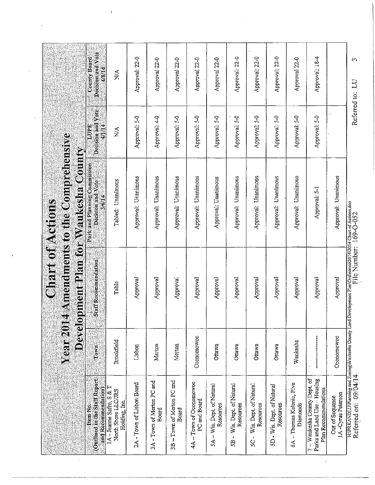|                                                                                      | <b>Year</b> 2014<br>Develop |                                                                                                                                       | <b>Amendments to the Comprehensive</b><br>ment Plan for Waukesha County<br><b>Chart of Actions</b> |                                     |                                             |
|--------------------------------------------------------------------------------------|-----------------------------|---------------------------------------------------------------------------------------------------------------------------------------|----------------------------------------------------------------------------------------------------|-------------------------------------|---------------------------------------------|
| (Outlined in the Staff Report<br>and Recommendation)<br>Item No.                     | Cown                        | Statiskecommendation                                                                                                                  | Park and Planning Commission<br>Decision and Vote<br>3/6/14                                        | Decision and Vote<br>LUPE<br>4/1/14 | Decision and Vote<br>County Board<br>4/8/14 |
| 1A - Jeanne Safro, S & T<br>North Shore LLC/TRS<br>Holding, Inc.                     | Brookfield                  | Table                                                                                                                                 | Tabled: Unanimous                                                                                  | $\stackrel{\triangle}{\geq}$        | $\frac{1}{2}$                               |
| 2A - Town of Lisbon Board                                                            | Lisbon                      | Approval                                                                                                                              | Approval: Unanimous                                                                                | Approval: 5-0                       | Approval: 22-0                              |
| 3A - Town of Merton PC and<br>Board                                                  | Merton                      | Approval                                                                                                                              | Approval: Unanimous                                                                                | Approval: 4-0                       | Approval 22-0                               |
| 3B - Town of Merton PC and<br>Board                                                  | Merton                      | Approval                                                                                                                              | Approval: Unanimous                                                                                | Approval: 5-0                       | Approval 22-0                               |
| 4A-Town of Oconomowoc<br>PC and Board                                                | Oconomowoc                  | Approval                                                                                                                              | Approval: Unanimous                                                                                | Approval: 5-0                       | Approval 22-0                               |
| 5A - Wis. Dept. of Natural<br>Resources                                              | Ottawa                      | Approval                                                                                                                              | Approval: Unanimous                                                                                | Approval: 5-0                       | Approval 22-0                               |
| 5B - Wis. Dept. of Natural<br>Resources                                              | Ottawa                      | Approval                                                                                                                              | Approval: Unanimous                                                                                | Approval: 5-0                       | Approval: 22-0                              |
| 5C - Wis. Dept. of Natural<br>Resources                                              | Ottawa                      | Approval                                                                                                                              | Unanimous<br>Approval:                                                                             | Approval: 5-0                       | Approval: 22-0                              |
| 5D - Wis. Dept. of Natural<br>Resources                                              | Ottawa                      | Approval                                                                                                                              | Unanimous<br>Approval.                                                                             | Approval: 5-0                       | Approval: 22-0                              |
| 6A - Thomas Kelenic, Five<br>Diamonds                                                | Waukesha                    | Approval                                                                                                                              | Approval: Unanimous                                                                                | Approval: 5-0                       | Approval 22-0                               |
| 7 - Waukesha County Dept. of<br>Parks and Land Use - Housing<br>Plan Recommendations | ļ                           | Approval                                                                                                                              | Approval: 5-1                                                                                      | Approval: 5-0                       | Approval: 18-4                              |
| IA-Cyrus Peterson<br>Out of Sequence                                                 | Oconomowoc                  | Approval                                                                                                                              | Approval: Unanimous                                                                                |                                     |                                             |
| Referred on: 09/04/14                                                                |                             | N:/PRKANDLU/Planning and Zoning/Waukesha County Land Dovolopment PlanOrdinanco2014/2014 Chart of Actions.doc<br>Referred on: 09/04/14 |                                                                                                    | Referred to:                        | $\Omega$<br>$\Xi$                           |

 $\ddot{\phantom{0}}$ 

 $\label{eq:2.1} \frac{1}{\sqrt{2}}\int_{\mathbb{R}^3}\frac{1}{\sqrt{2}}\left(\frac{1}{\sqrt{2}}\right)^2\frac{1}{\sqrt{2}}\left(\frac{1}{\sqrt{2}}\right)^2\frac{1}{\sqrt{2}}\left(\frac{1}{\sqrt{2}}\right)^2.$ 

 $\label{eq:1} \frac{\mathbf{X}}{\mathbf{X}} = \frac{1}{\mathbf{X}} \sum_{i=1}^N \mathbf{X}_i \mathbf{X}_i$ 

 $\mathcal{A}$ 

 $\mathcal{L}^{\mathcal{L}}$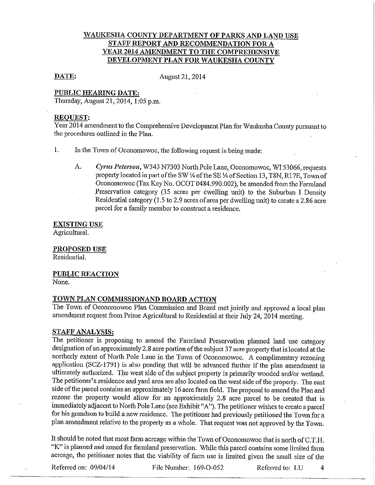# WAUKESHA COUNTY DEPARTMENT OF PARKS AND LAND USE STAFF REPORT AND RECOMMENDATION FOR A YEAR 2014 AMENDMENT TO THE COMPREHENSIVE DEVELOPMENT PLAN FOR WAUKESHA COUNTY

#### DATE:

August 21, 2014

## PUBLIC HEARING DATE:

Thursday, August 21, 2014, 1:05 p.m.

#### **REQUEST:**

Year 2014 amendment to the Comprehensive Development Plan for Waukesha County pursuant to the procedures outlined in the Plan.

1. In the Town of Oconomowoc, the following request is being made:

 $A_{\cdot}$ Cyrus Peterson, W343 N7303 North Pole Lane, Oconomowoc, WI 53066, requests property located in part of the SW ¼ of the SE ¼ of Section 13, T8N, R17E, Town of Oconomowoc (Tax Key No. OCOT 0484.990.002), be amended from the Farmland Preservation category (35 acres per dwelling unit) to the Suburban I Density Residential category (1.5 to 2.9 acres of area per dwelling unit) to create a 2.86 acre parcel for a family member to construct a residence.

**EXISTING USE** Agricultural.

**PROPOSED USE** Residential.

**PUBLIC REACTION** 

None.

# TOWN PLAN COMMISSIONAND BOARD ACTION

The Town of Oconomowoc Plan Commission and Board met jointly and approved a local plan amendment request from Prime Agricultural to Residential at their July 24, 2014 meeting.

### **STAFF ANALYSIS:**

The petitioner is proposing to amend the Farmland Preservation planned land use category designation of an approximately 2.8 acre portion of the subject 37 acre property that is located at the northerly extent of North Pole Lane in the Town of Oconomowoc. A complimentary rezoning application (SCZ-1791) is also pending that will be advanced further if the plan amendment is ultimately authorized. The west side of the subject property is primarily wooded and/or wetland. The petitioner's residence and yard area are also located on the west side of the property. The east side of the parcel contains an approximately 16 acre farm field. The proposal to amend the Plan and rezone the property would allow for an approximately 2.8 acre parcel to be created that is immediately adjacent to North Pole Lane (see Exhibit "A"). The petitioner wishes to create a parcel for his grandson to build a new residence. The petitioner had previously petitioned the Town for a plan amendment relative to the property as a whole. That request was not approved by the Town.

It should be noted that most farm acreage within the Town of Oconomowoc that is north of C.T.H. "K" is planned and zoned for farmland preservation. While this parcel contains some limited farm acreage, the petitioner notes that the viability of farm use is limited given the small size of the

Referred on: 09/04/14

File Number: 169-O-052

Referred to: LU

 $\overline{4}$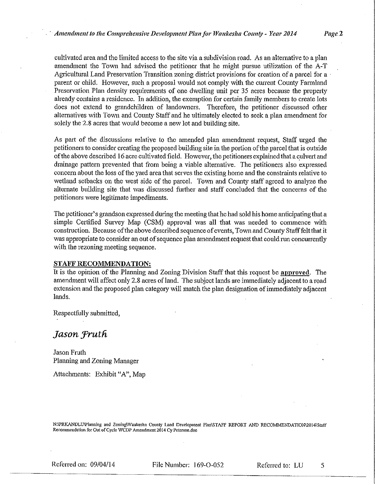cultivated area and the limited access to the site via a subdivision road. As an alternative to a plan amendment the Town had advised the petitioner that he might pursue utilization of the A-T Agricultural Land Preservation Transition zoning district provisions for creation of a parcel for a parent or child. However, such a proposal would not comply with the current County Farmland Preservation Plan density requirements of one dwelling unit per 35 acres because the property already contains a residence. In addition, the exemption for certain family members to create lots does not extend to grandchildren of landowners. Therefore, the petitioner discussed other alternatives with Town and County Staff and he ultimately elected to seek a plan amendment for solely the 2.8 acres that would become a new lot and building site.

As part of the discussions relative to the amended plan amendment request, Staff urged the petitioners to consider creating the proposed building site in the portion of the parcel that is outside of the above described 16 acre cultivated field. However, the petitioners explained that a culvert and drainage pattern prevented that from being a viable alternative. The petitioners also expressed concern about the loss of the yard area that serves the existing home and the constraints relative to wetland setbacks on the west side of the parcel. Town and County staff agreed to analyze the alternate building site that was discussed further and staff concluded that the concerns of the petitioners were legitimate impediments.

The petitioner's grandson expressed during the meeting that he had sold his home anticipating that a simple Certified Survey Map (CSM) approval was all that was needed to commence with construction. Because of the above described sequence of events, Town and County Staff felt that it was appropriate to consider an out of sequence plan amendment request that could run concurrently with the rezoning meeting sequence.

#### STAFF RECOMMENDATION:

It is the opinion of the Planning and Zoning Division Staff that this request be approved. The amendment will affect only 2.8 acres of land. The subject lands are immediately adjacent to a road extension and the proposed plan category will match the plan designation of immediately adjacent lands.

Respectfully submitted,

# Jason Fruth

Jason Fruth Planning and Zoning Manager

Attachments: Exhibit "A", Map

N:\PRKANDLU\Planning and Zoning\Waukesha County Land Development Plan\STAFF REPORT AND RECOMMENDATION\2014\Staff Recommendation for Out of Cycle WCDP Amendment 2014 Cy Peterson.doc

Referred on: 09/04/14

File Number: 169-O-052

5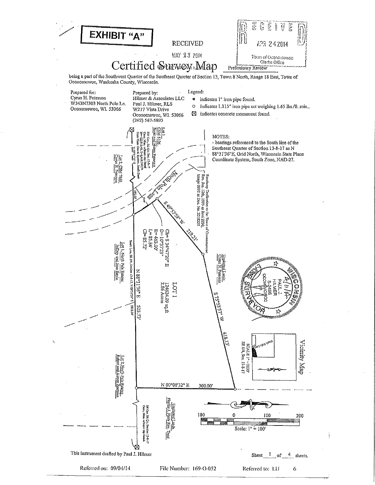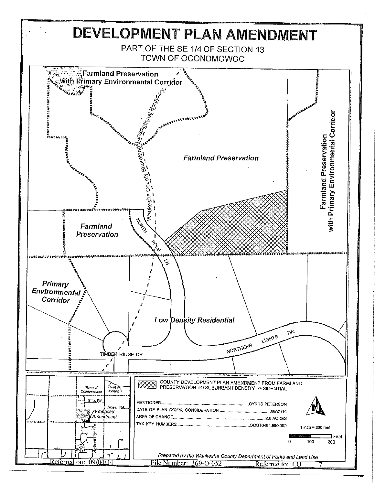